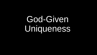## God-Given Uniqueness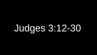## Judges 3:12-30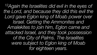*<sup>12</sup>Again the Israelites did evil in the eyes of the Lord, and because they did this evil the Lord gave Eglon king of Moab power over Israel. Getting the Ammonites and Amalekites to join him, Eglon came and attacked Israel, and they took possession of the City of Palms. The Israelites were subject to Eglon king of Moab for eighteen years.*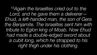*<sup>15</sup>Again the Israelites cried out to the Lord, and he gave them a deliverer— Ehud, a left-handed man, the son of Gera the Benjamite. The Israelites sent him with tribute to Eglon king of Moab. Now Ehud had made a double-edged sword about a cubit long, which he strapped to his right thigh under his clothing.*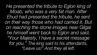*He presented the tribute to Eglon king of Moab, who was a very fat man. After Ehud had presented the tribute, he sent on their way those who had carried it. But on reaching the stone images near Gilgal he himself went back to Eglon and said, "Your Majesty, I have a secret message for you." The king said to his attendants, "Leave us!" And they all left.*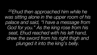*<sup>20</sup>Ehud then approached him while he was sitting alone in the upper room of his palace and said, "I have a message from God for you." As the king rose from his seat, Ehud reached with his left hand, drew the sword from his right thigh and plunged it into the king's belly.*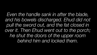*Even the handle sank in after the blade, and his bowels discharged. Ehud did not pull the sword out, and the fat closed in over it. Then Ehud went out to the porch; he shut the doors of the upper room behind him and locked them.*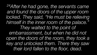*<sup>24</sup>After he had gone, the servants came and found the doors of the upper room locked. They said, "He must be relieving himself in the inner room of the palace." They waited to the point of embarrassment, but when he did not open the doors of the room, they took a key and unlocked them. There they saw their lord fallen to the floor, dead.*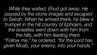*While they waited, Ehud got away. He passed by the stone images and escaped to Seirah. When he arrived there, he blew a trumpet in the hill country of Ephraim, and the Israelites went down with him from the hills, with him leading them. "Follow me," he ordered, "for the Lord has given Moab, your enemy, into your hands."*